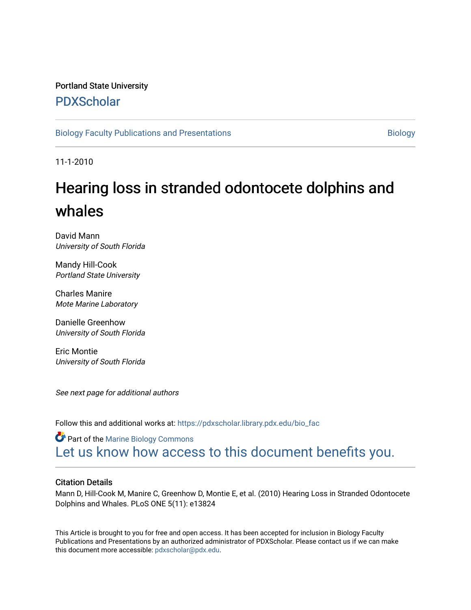### Portland State University [PDXScholar](https://pdxscholar.library.pdx.edu/)

[Biology Faculty Publications and Presentations](https://pdxscholar.library.pdx.edu/bio_fac) [Biology](https://pdxscholar.library.pdx.edu/bio) Biology

11-1-2010

# Hearing loss in stranded odontocete dolphins and whales

David Mann University of South Florida

Mandy Hill-Cook Portland State University

Charles Manire Mote Marine Laboratory

Danielle Greenhow University of South Florida

Eric Montie University of South Florida

See next page for additional authors

Follow this and additional works at: [https://pdxscholar.library.pdx.edu/bio\\_fac](https://pdxscholar.library.pdx.edu/bio_fac?utm_source=pdxscholar.library.pdx.edu%2Fbio_fac%2F11&utm_medium=PDF&utm_campaign=PDFCoverPages) 

**Part of the Marine Biology Commons** [Let us know how access to this document benefits you.](http://library.pdx.edu/services/pdxscholar-services/pdxscholar-feedback/?ref=https://pdxscholar.library.pdx.edu/bio_fac/11) 

#### Citation Details

Mann D, Hill-Cook M, Manire C, Greenhow D, Montie E, et al. (2010) Hearing Loss in Stranded Odontocete Dolphins and Whales. PLoS ONE 5(11): e13824

This Article is brought to you for free and open access. It has been accepted for inclusion in Biology Faculty Publications and Presentations by an authorized administrator of PDXScholar. Please contact us if we can make this document more accessible: [pdxscholar@pdx.edu.](mailto:pdxscholar@pdx.edu)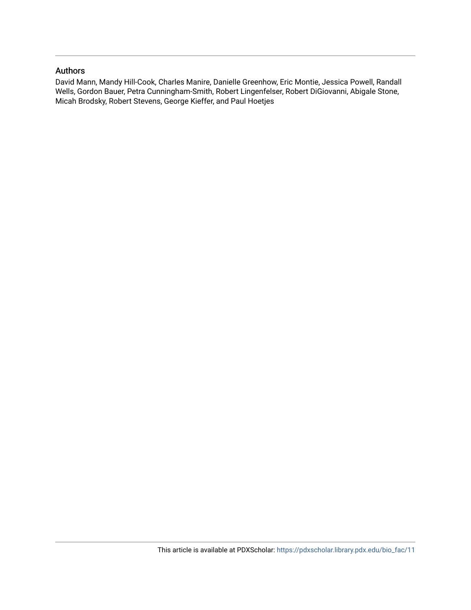#### Authors

David Mann, Mandy Hill-Cook, Charles Manire, Danielle Greenhow, Eric Montie, Jessica Powell, Randall Wells, Gordon Bauer, Petra Cunningham-Smith, Robert Lingenfelser, Robert DiGiovanni, Abigale Stone, Micah Brodsky, Robert Stevens, George Kieffer, and Paul Hoetjes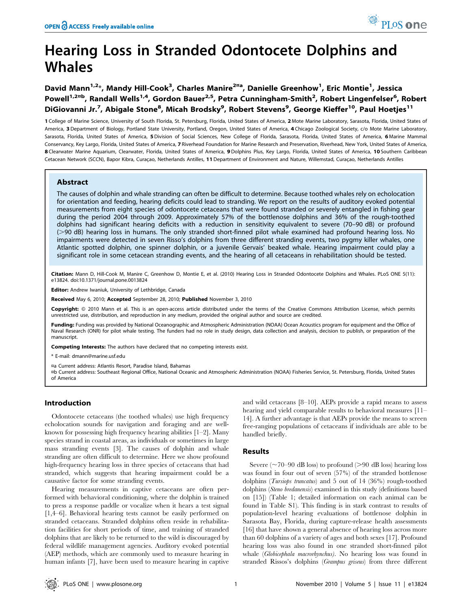## Hearing Loss in Stranded Odontocete Dolphins and Whales

David Mann<sup>1,2</sup>\*, Mandy Hill-Cook<sup>3</sup>, Charles Manire<sup>2¤a</sup>, Danielle Greenhow<sup>1</sup>, Eric Montie<sup>1</sup>, Jessica Powell<sup>1,2¤b</sup>, Randall Wells<sup>1,4</sup>, Gordon Bauer<sup>2,5</sup>, Petra Cunningham-Smith<sup>2</sup>, Robert Lingenfelser<sup>6</sup>, Robert DiGiovanni Jr.<sup>7</sup>, Abigale Stone<sup>8</sup>, Micah Brodsky<sup>9</sup>, Robert Stevens<sup>9</sup>, George Kieffer<sup>10</sup>, Paul Hoetjes<sup>11</sup>

1 College of Marine Science, University of South Florida, St. Petersburg, Florida, United States of America, 2 Mote Marine Laboratory, Sarasota, Florida, United States of America, 3 Department of Biology, Portland State University, Portland, Oregon, United States of America, 4 Chicago Zoological Society, c/o Mote Marine Laboratory, Sarasota, Florida, United States of America, 5 Division of Social Sciences, New College of Florida, Sarasota, Florida, United States of America, 6 Marine Mammal Conservancy, Key Largo, Florida, United States of America, 7 Riverhead Foundation for Marine Research and Preservation, Riverhead, New York, United States of America, 8 Clearwater Marine Aquarium, Clearwater, Florida, United States of America, 9 Dolphins Plus, Key Largo, Florida, United States of America, 10 Southern Caribbean Cetacean Network (SCCN), Bapor Kibra, Curaçao, Netherlands Antilles, 11 Department of Environment and Nature, Willemstad, Curaçao, Netherlands Antilles

#### Abstract

The causes of dolphin and whale stranding can often be difficult to determine. Because toothed whales rely on echolocation for orientation and feeding, hearing deficits could lead to stranding. We report on the results of auditory evoked potential measurements from eight species of odontocete cetaceans that were found stranded or severely entangled in fishing gear during the period 2004 through 2009. Approximately 57% of the bottlenose dolphins and 36% of the rough-toothed dolphins had significant hearing deficits with a reduction in sensitivity equivalent to severe (70–90 dB) or profound ( $>90$  dB) hearing loss in humans. The only stranded short-finned pilot whale examined had profound hearing loss. No impairments were detected in seven Risso's dolphins from three different stranding events, two pygmy killer whales, one Atlantic spotted dolphin, one spinner dolphin, or a juvenile Gervais' beaked whale. Hearing impairment could play a significant role in some cetacean stranding events, and the hearing of all cetaceans in rehabilitation should be tested.

Citation: Mann D, Hill-Cook M, Manire C, Greenhow D, Montie E, et al. (2010) Hearing Loss in Stranded Odontocete Dolphins and Whales. PLoS ONE 5(11): e13824. doi:10.1371/journal.pone.0013824

Editor: Andrew Iwaniuk, University of Lethbridge, Canada

Received May 6, 2010; Accepted September 28, 2010; Published November 3, 2010

Copyright: © 2010 Mann et al. This is an open-access article distributed under the terms of the Creative Commons Attribution License, which permits unrestricted use, distribution, and reproduction in any medium, provided the original author and source are credited.

Funding: Funding was provided by National Oceanographic and Atmospheric Administration (NOAA) Ocean Acoustics program for equipment and the Office of Naval Research (ONR) for pilot whale testing. The funders had no role in study design, data collection and analysis, decision to publish, or preparation of the manuscript.

Competing Interests: The authors have declared that no competing interests exist.

\* E-mail: dmann@marine.usf.edu

¤a Current address: Atlantis Resort, Paradise Island, Bahamas

¤b Current address: Southeast Regional Office, National Oceanic and Atmospheric Administration (NOAA) Fisheries Service, St. Petersburg, Florida, United States of America

#### Introduction

Odontocete cetaceans (the toothed whales) use high frequency echolocation sounds for navigation and foraging and are wellknown for possessing high frequency hearing abilities [1–2]. Many species strand in coastal areas, as individuals or sometimes in large mass stranding events [3]. The causes of dolphin and whale stranding are often difficult to determine. Here we show profound high-frequency hearing loss in three species of cetaceans that had stranded, which suggests that hearing impairment could be a causative factor for some stranding events.

Hearing measurements in captive cetaceans are often performed with behavioral conditioning, where the dolphin is trained to press a response paddle or vocalize when it hears a test signal [1,4–6]. Behavioral hearing tests cannot be easily performed on stranded cetaceans. Stranded dolphins often reside in rehabilitation facilities for short periods of time, and training of stranded dolphins that are likely to be returned to the wild is discouraged by federal wildlife management agencies. Auditory evoked potential (AEP) methods, which are commonly used to measure hearing in human infants [7], have been used to measure hearing in captive

and wild cetaceans [8–10]. AEPs provide a rapid means to assess hearing and yield comparable results to behavioral measures [11– 14]. A further advantage is that AEPs provide the means to screen free-ranging populations of cetaceans if individuals are able to be handled briefly.

#### Results

Severe ( $\sim$ 70–90 dB loss) to profound ( $>$ 90 dB loss) hearing loss was found in four out of seven (57%) of the stranded bottlenose dolphins (Tursiops truncatus) and 5 out of 14 (36%) rough-toothed dolphins (Steno bredanensis) examined in this study (definitions based on [15]) (Table 1; detailed information on each animal can be found in Table S1). This finding is in stark contrast to results of population-level hearing evaluations of bottlenose dolphin in Sarasota Bay, Florida, during capture-release health assessments [16] that have shown a general absence of hearing loss across more than 60 dolphins of a variety of ages and both sexes [17]. Profound hearing loss was also found in one stranded short-finned pilot whale (Globicephala macrorhynchus). No hearing loss was found in stranded Rissos's dolphins (Grampus griseus) from three different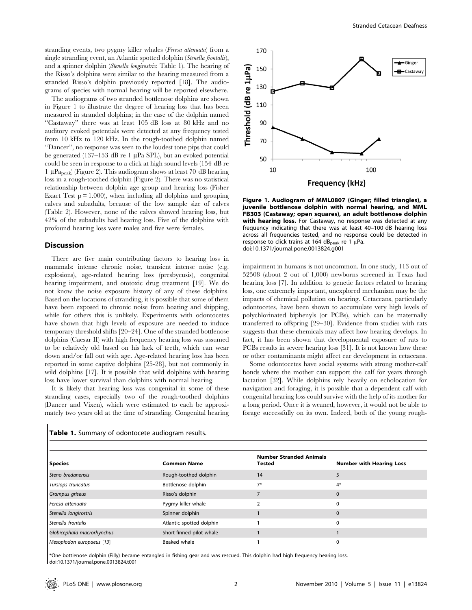stranding events, two pygmy killer whales (Feresa attenuata) from a single stranding event, an Atlantic spotted dolphin (Stenella frontalis), and a spinner dolphin (Stenella longirostris; Table 1). The hearing of the Risso's dolphins were similar to the hearing measured from a stranded Risso's dolphin previously reported [18]. The audiograms of species with normal hearing will be reported elsewhere.

The audiograms of two stranded bottlenose dolphins are shown in Figure 1 to illustrate the degree of hearing loss that has been measured in stranded dolphins; in the case of the dolphin named ''Castaway'' there was at least 105 dB loss at 80 kHz and no auditory evoked potentials were detected at any frequency tested from 10 kHz to 120 kHz. In the rough-toothed dolphin named ''Dancer'', no response was seen to the loudest tone pips that could be generated (137–153 dB re 1  $\mu$ Pa SPL), but an evoked potential could be seen in response to a click at high sound levels (154 dB re 1  $\mu$ Pa<sub>peak</sub>) (Figure 2). This audiogram shows at least 70 dB hearing loss in a rough-toothed dolphin (Figure 2). There was no statistical relationship between dolphin age group and hearing loss (Fisher Exact Test  $p = 1.000$ , when including all dolphins and grouping calves and subadults, because of the low sample size of calves (Table 2). However, none of the calves showed hearing loss, but 42% of the subadults had hearing loss. Five of the dolphins with profound hearing loss were males and five were females.

#### **Discussion**

There are five main contributing factors to hearing loss in mammals: intense chronic noise, transient intense noise (e.g. explosions), age-related hearing loss (presbycusis), congenital hearing impairment, and ototoxic drug treatment [19]. We do not know the noise exposure history of any of these dolphins. Based on the locations of stranding, it is possible that some of them have been exposed to chronic noise from boating and shipping, while for others this is unlikely. Experiments with odontocetes have shown that high levels of exposure are needed to induce temporary threshold shifts [20–24]. One of the stranded bottlenose dolphins (Caesar II) with high frequency hearing loss was assumed to be relatively old based on his lack of teeth, which can wear down and/or fall out with age. Age-related hearing loss has been reported in some captive dolphins [25-28], but not commonly in wild dolphins [17]. It is possible that wild dolphins with hearing loss have lower survival than dolphins with normal hearing.

It is likely that hearing loss was congenital in some of these stranding cases, especially two of the rough-toothed dolphins (Dancer and Vixen), which were estimated to each be approximately two years old at the time of stranding. Congenital hearing



Figure 1. Audiogram of MML0807 (Ginger; filled triangles), a juvenile bottlenose dolphin with normal hearing, and MML FB303 (Castaway; open squares), an adult bottlenose dolphin with hearing loss. For Castaway, no response was detected at any frequency indicating that there was at least 40–100 dB hearing loss across all frequencies tested, and no response could be detected in response to click trains at 164 dB<sub>peak</sub> re 1  $\mu$ Pa. doi:10.1371/journal.pone.0013824.g001

impairment in humans is not uncommon. In one study, 113 out of 52508 (about 2 out of 1,000) newborns screened in Texas had hearing loss [7]. In addition to genetic factors related to hearing loss, one extremely important, unexplored mechanism may be the impacts of chemical pollution on hearing. Cetaceans, particularly odontocetes, have been shown to accumulate very high levels of polychlorinated biphenyls (or PCBs), which can be maternally transferred to offspring [29–30]. Evidence from studies with rats suggests that these chemicals may affect how hearing develops. In fact, it has been shown that developmental exposure of rats to PCBs results in severe hearing loss [31]. It is not known how these or other contaminants might affect ear development in cetaceans.

Some odontocetes have social systems with strong mother-calf bonds where the mother can support the calf for years through lactation [32]. While dolphins rely heavily on echolocation for navigation and foraging, it is possible that a dependent calf with congenital hearing loss could survive with the help of its mother for a long period. Once it is weaned, however, it would not be able to forage successfully on its own. Indeed, both of the young rough-

| Table 1. Summary of odontocete audiogram results. |
|---------------------------------------------------|
|                                                   |

|                            |                          | <b>Number Stranded Animals</b> |                                 |
|----------------------------|--------------------------|--------------------------------|---------------------------------|
| <b>Species</b>             | <b>Common Name</b>       | <b>Tested</b>                  | <b>Number with Hearing Loss</b> |
| Steno bredanensis          | Rough-toothed dolphin    | 14                             |                                 |
| Tursiops truncatus         | Bottlenose dolphin       | $7*$                           | $4*$                            |
| Grampus griseus            | Risso's dolphin          |                                | 0                               |
| Feresa attenuata           | Pygmy killer whale       |                                |                                 |
| Stenella longirostris      | Spinner dolphin          |                                |                                 |
| Stenella frontalis         | Atlantic spotted dolphin |                                |                                 |
| Globicephala macrorhynchus | Short-finned pilot whale |                                |                                 |
| Mesoplodon europaeus [13]  | Beaked whale             |                                |                                 |

\*One bottlenose dolphin (Filly) became entangled in fishing gear and was rescued. This dolphin had high frequency hearing loss. doi:10.1371/journal.pone.0013824.t001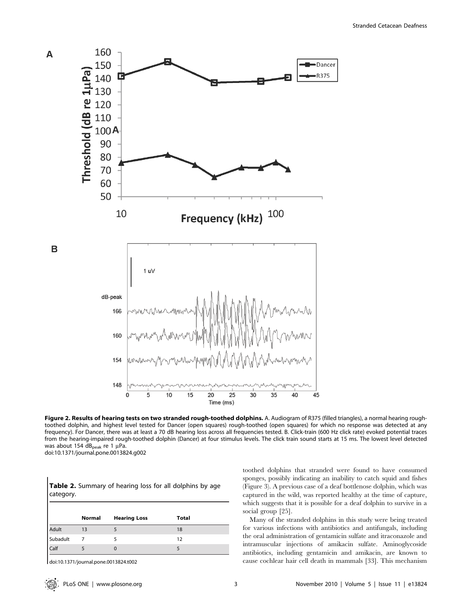

Figure 2. Results of hearing tests on two stranded rough-toothed dolphins. A. Audiogram of R375 (filled triangles), a normal hearing roughtoothed dolphin, and highest level tested for Dancer (open squares) rough-toothed (open squares) for which no response was detected at any frequency). For Dancer, there was at least a 70 dB hearing loss across all frequencies tested. B. Click-train (600 Hz click rate) evoked potential traces from the hearing-impaired rough-toothed dolphin (Dancer) at four stimulus levels. The click train sound starts at 15 ms. The lowest level detected was about 154  $dB_{peak}$  re 1 µPa. doi:10.1371/journal.pone.0013824.g002

|          | Normal | <b>Hearing Loss</b> | <b>Total</b> |  |
|----------|--------|---------------------|--------------|--|
| Adult    | 13     |                     | 18           |  |
| Subadult |        |                     | 12           |  |
| Calf     |        |                     |              |  |

Table 2. Summary of hearing loss for all dolphins by age

doi:10.1371/journal.pone.0013824.t002

category.

toothed dolphins that stranded were found to have consumed sponges, possibly indicating an inability to catch squid and fishes (Figure 3). A previous case of a deaf bottlenose dolphin, which was captured in the wild, was reported healthy at the time of capture, which suggests that it is possible for a deaf dolphin to survive in a social group [25].

Many of the stranded dolphins in this study were being treated for various infections with antibiotics and antifungals, including the oral administration of gentamicin sulfate and itraconazole and intramuscular injections of amikacin sulfate. Aminoglycoside antibiotics, including gentamicin and amikacin, are known to cause cochlear hair cell death in mammals [33]. This mechanism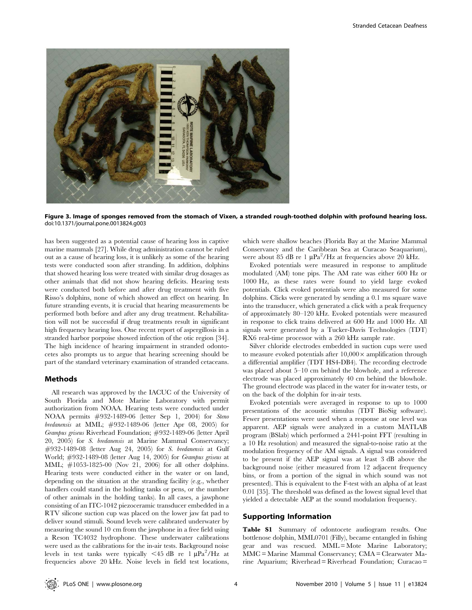

Figure 3. Image of sponges removed from the stomach of Vixen, a stranded rough-toothed dolphin with profound hearing loss. doi:10.1371/journal.pone.0013824.g003

has been suggested as a potential cause of hearing loss in captive marine mammals [27]. While drug administration cannot be ruled out as a cause of hearing loss, it is unlikely as some of the hearing tests were conducted soon after stranding. In addition, dolphins that showed hearing loss were treated with similar drug dosages as other animals that did not show hearing deficits. Hearing tests were conducted both before and after drug treatment with five Risso's dolphins, none of which showed an effect on hearing. In future stranding events, it is crucial that hearing measurements be performed both before and after any drug treatment. Rehabilitation will not be successful if drug treatments result in significant high frequency hearing loss. One recent report of aspergillosis in a stranded harbor porpoise showed infection of the otic region [34]. The high incidence of hearing impairment in stranded odontocetes also prompts us to argue that hearing screening should be part of the standard veterinary examination of stranded cetaceans.

#### Methods

All research was approved by the IACUC of the University of South Florida and Mote Marine Laboratory with permit authorization from NOAA. Hearing tests were conducted under NOAA permits #932-1489-06 (letter Sep 1, 2004) for Steno bredanensis at MML; #932-1489-06 (letter Apr 08, 2005) for Grampus griseus Riverhead Foundation; #932-1489-06 (letter April 20, 2005) for S. bredanensis at Marine Mammal Conservancy; #932-1489-08 (letter Aug 24, 2005) for S. bredanensis at Gulf World; #932-1489-08 (letter Aug 14, 2005) for Grampus griseus at MML; #1053-1825-00 (Nov 21, 2006) for all other dolphins. Hearing tests were conducted either in the water or on land, depending on the situation at the stranding facility (e.g., whether handlers could stand in the holding tanks or pens, or the number of other animals in the holding tanks). In all cases, a jawphone consisting of an ITC-1042 piezoceramic transducer embedded in a RTV silicone suction cup was placed on the lower jaw fat pad to deliver sound stimuli. Sound levels were calibrated underwater by measuring the sound 10 cm from the jawphone in a free field using a Reson TC4032 hydrophone. These underwater calibrations were used as the calibrations for the in-air tests. Background noise levels in test tanks were typically <45 dB re  $1 \mu Pa^2/Hz$  at frequencies above 20 kHz. Noise levels in field test locations,

which were shallow beaches (Florida Bay at the Marine Mammal Conservancy and the Caribbean Sea at Curacao Seaquarium), were about 85 dB re 1  $\mu$ Pa<sup>2</sup>/Hz at frequencies above 20 kHz.

Evoked potentials were measured in response to amplitude modulated (AM) tone pips. The AM rate was either 600 Hz or 1000 Hz, as these rates were found to yield large evoked potentials. Click evoked potentials were also measured for some dolphins. Clicks were generated by sending a 0.1 ms square wave into the transducer, which generated a click with a peak frequency of approximately 80–120 kHz. Evoked potentials were measured in response to click trains delivered at 600 Hz and 1000 Hz. All signals were generated by a Tucker-Davis Technologies (TDT) RX6 real-time processor with a 260 kHz sample rate.

Silver chloride electrodes embedded in suction cups were used to measure evoked potentials after  $10,000 \times$  amplification through a differential amplifier (TDT HS4-DB4). The recording electrode was placed about 5–10 cm behind the blowhole, and a reference electrode was placed approximately 40 cm behind the blowhole. The ground electrode was placed in the water for in-water tests, or on the back of the dolphin for in-air tests.

Evoked potentials were averaged in response to up to 1000 presentations of the acoustic stimulus (TDT BioSig software). Fewer presentations were used when a response at one level was apparent. AEP signals were analyzed in a custom MATLAB program (BSlab) which performed a 2441-point FFT (resulting in a 10 Hz resolution) and measured the signal-to-noise ratio at the modulation frequency of the AM signals. A signal was considered to be present if the AEP signal was at least 3 dB above the background noise (either measured from 12 adjacent frequency bins, or from a portion of the signal in which sound was not presented). This is equivalent to the F-test with an alpha of at least 0.01 [35]. The threshold was defined as the lowest signal level that yielded a detectable AEP at the sound modulation frequency.

#### Supporting Information

Table S1 Summary of odontocete audiogram results. One bottlenose dolphin, MML0701 (Filly), became entangled in fishing gear and was rescued. MML = Mote Marine Laboratory; MMC = Marine Mammal Conservancy; CMA = Clearwater Marine Aquarium; Riverhead = Riverhead Foundation; Curacao =